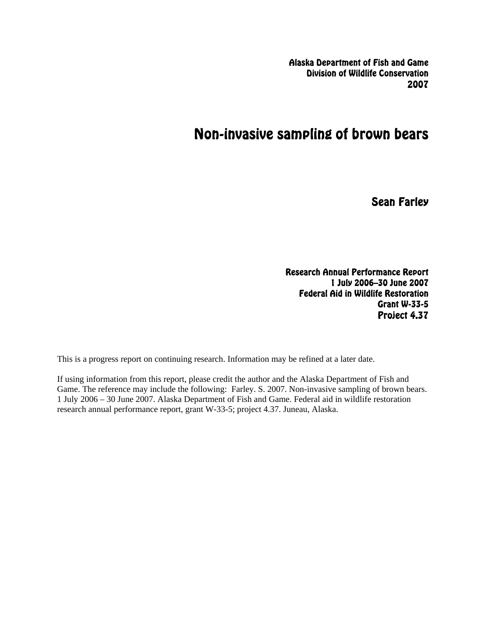Alaska Department of Fish and Game Division of Wildlife Conservation 2007

# Non-invasive sampling of brown bears

Sean Farley

Research Annual Performance Report 1 July 2006–30 June 2007 Federal Aid in Wildlife Restoration Grant W-33-5 Project 4.37

This is a progress report on continuing research. Information may be refined at a later date.

If using information from this report, please credit the author and the Alaska Department of Fish and Game. The reference may include the following: Farley. S. 2007. Non-invasive sampling of brown bears. 1 July 2006 – 30 June 2007. Alaska Department of Fish and Game. Federal aid in wildlife restoration research annual performance report, grant W-33-5; project 4.37. Juneau, Alaska.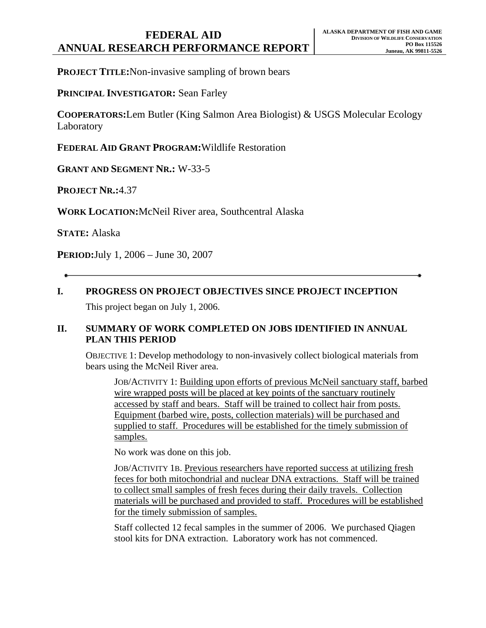## **FEDERAL AID ANNUAL RESEARCH PERFORMANCE REPORT**

**PROJECT TITLE: Non-invasive sampling of brown bears** 

**PRINCIPAL INVESTIGATOR:** Sean Farley

**COOPERATORS:**Lem Butler (King Salmon Area Biologist) & USGS Molecular Ecology Laboratory

**FEDERAL AID GRANT PROGRAM:**Wildlife Restoration

**GRANT AND SEGMENT NR.:** W-33-5

**PROJECT NR.:**4.37

**WORK LOCATION:**McNeil River area, Southcentral Alaska

**STATE:** Alaska

**PERIOD:**July 1, 2006 – June 30, 2007

**I. PROGRESS ON PROJECT OBJECTIVES SINCE PROJECT INCEPTION**

This project began on July 1, 2006.

### **II. SUMMARY OF WORK COMPLETED ON JOBS IDENTIFIED IN ANNUAL PLAN THIS PERIOD**

OBJECTIVE 1: Develop methodology to non-invasively collect biological materials from bears using the McNeil River area.

JOB/ACTIVITY 1: Building upon efforts of previous McNeil sanctuary staff, barbed wire wrapped posts will be placed at key points of the sanctuary routinely accessed by staff and bears. Staff will be trained to collect hair from posts. Equipment (barbed wire, posts, collection materials) will be purchased and supplied to staff. Procedures will be established for the timely submission of samples.

No work was done on this job.

JOB/ACTIVITY 1B. Previous researchers have reported success at utilizing fresh feces for both mitochondrial and nuclear DNA extractions. Staff will be trained to collect small samples of fresh feces during their daily travels. Collection materials will be purchased and provided to staff. Procedures will be established for the timely submission of samples.

Staff collected 12 fecal samples in the summer of 2006. We purchased Qiagen stool kits for DNA extraction. Laboratory work has not commenced.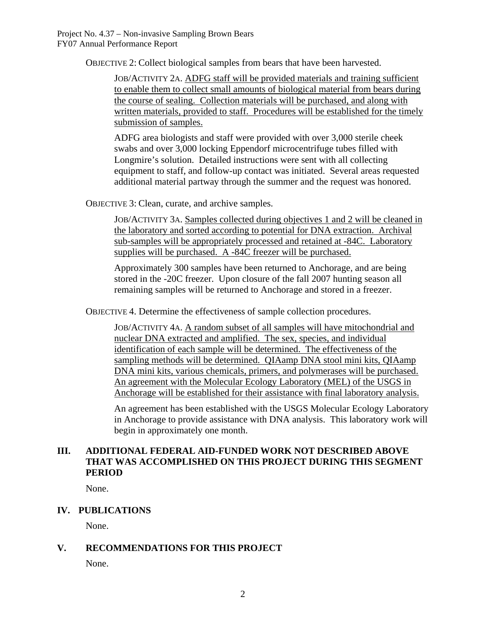OBJECTIVE 2: Collect biological samples from bears that have been harvested.

JOB/ACTIVITY 2A. ADFG staff will be provided materials and training sufficient to enable them to collect small amounts of biological material from bears during the course of sealing. Collection materials will be purchased, and along with written materials, provided to staff. Procedures will be established for the timely submission of samples.

ADFG area biologists and staff were provided with over 3,000 sterile cheek swabs and over 3,000 locking Eppendorf microcentrifuge tubes filled with Longmire's solution. Detailed instructions were sent with all collecting equipment to staff, and follow-up contact was initiated. Several areas requested additional material partway through the summer and the request was honored.

OBJECTIVE 3: Clean, curate, and archive samples.

JOB/ACTIVITY 3A. Samples collected during objectives 1 and 2 will be cleaned in the laboratory and sorted according to potential for DNA extraction. Archival sub-samples will be appropriately processed and retained at -84C. Laboratory supplies will be purchased. A -84C freezer will be purchased.

Approximately 300 samples have been returned to Anchorage, and are being stored in the -20C freezer. Upon closure of the fall 2007 hunting season all remaining samples will be returned to Anchorage and stored in a freezer.

OBJECTIVE 4. Determine the effectiveness of sample collection procedures.

JOB/ACTIVITY 4A. A random subset of all samples will have mitochondrial and nuclear DNA extracted and amplified. The sex, species, and individual identification of each sample will be determined. The effectiveness of the sampling methods will be determined. QIAamp DNA stool mini kits, QIAamp DNA mini kits, various chemicals, primers, and polymerases will be purchased. An agreement with the Molecular Ecology Laboratory (MEL) of the USGS in Anchorage will be established for their assistance with final laboratory analysis.

An agreement has been established with the USGS Molecular Ecology Laboratory in Anchorage to provide assistance with DNA analysis. This laboratory work will begin in approximately one month.

### **III. ADDITIONAL FEDERAL AID-FUNDED WORK NOT DESCRIBED ABOVE THAT WAS ACCOMPLISHED ON THIS PROJECT DURING THIS SEGMENT PERIOD**

None.

### **IV. PUBLICATIONS**

None.

## **V. RECOMMENDATIONS FOR THIS PROJECT**

None.